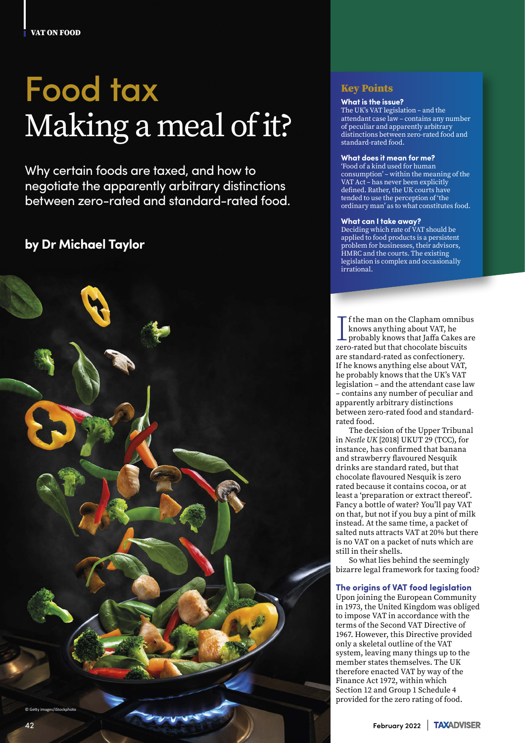VAT ON FOOD

# Food tax Making a meal of it?

Why certain foods are taxed, and how to negotiate the apparently arbitrary distinctions between zero-rated and standard-rated food.

## **by Dr Michael Taylor**



#### Key Points

#### **What is the issue?**

The UK's VAT legislation – and the attendant case law – contains any number of peculiar and apparently arbitrary distinctions between zero-rated food and standard-rated food.

#### **What does it mean for me?**

'Food of a kind used for human consumption' – within the meaning of the VAT Act – has never been explicitly defined. Rather, the UK courts have tended to use the perception of 'the ordinary man' as to what constitutes food.

#### **What can I take away?**

Deciding which rate of VAT should be applied to food products is a persistent problem for businesses, their advisors, HMRC and the courts. The existing legislation is complex and occasionally irrational.

 $\begin{array}{l} \displaystyle \prod\limits_{\text{knows anything about } \text{VAT, he}} \text{frobably knows that Jaffa Cakes a zero-rated but that chocolate biscuts} \end{array}$ f the man on the Clapham omnibus knows anything about VAT, he probably knows that Jaffa Cakes are are standard-rated as confectionery. If he knows anything else about VAT, he probably knows that the UK's VAT legislation – and the attendant case law – contains any number of peculiar and apparently arbitrary distinctions between zero-rated food and standardrated food.

The decision of the Upper Tribunal in *Nestle UK* [2018] UKUT 29 (TCC), for instance, has confirmed that banana and strawberry flavoured Nesquik drinks are standard rated, but that chocolate flavoured Nesquik is zero rated because it contains cocoa, or at least a 'preparation or extract thereof'. Fancy a bottle of water? You'll pay VAT on that, but not if you buy a pint of milk instead. At the same time, a packet of salted nuts attracts VAT at 20% but there is no VAT on a packet of nuts which are still in their shells.

So what lies behind the seemingly bizarre legal framework for taxing food?

#### **The origins of VAT food legislation**

Upon joining the European Community in 1973, the United Kingdom was obliged to impose VAT in accordance with the terms of the Second VAT Directive of 1967. However, this Directive provided only a skeletal outline of the VAT system, leaving many things up to the member states themselves. The UK therefore enacted VAT by way of the Finance Act 1972, within which Section 12 and Group 1 Schedule 4 provided for the zero rating of food.